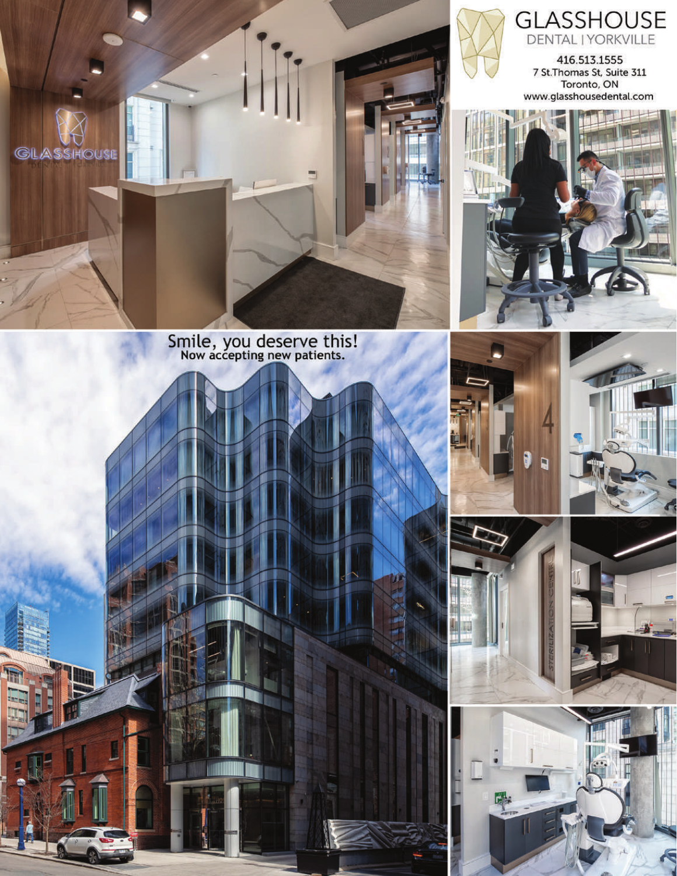